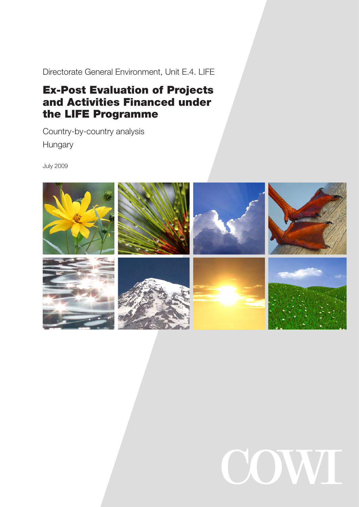Directorate General Environment, Unit E.4. LIFE

# Ex-Post Evaluation of Projects and Activities Financed under the LIFE Programme

Country-by-country analysis Hungary

July 2009



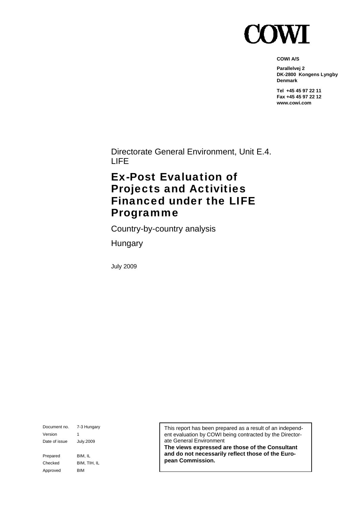

**COWI A/S** 

**Parallelvej 2 DK-2800 Kongens Lyngby Denmark** 

**Tel +45 45 97 22 11 Fax +45 45 97 22 12 www.cowi.com** 

Directorate General Environment, Unit E.4. LIFE

# Ex-Post Evaluation of Projects and Activities Financed under the LIFE Programme

Country-by-country analysis

Hungary

July 2009

Document no. 7-3 Hungary Version 1 Date of issue July.2009 Prepared BIM, IL Checked BIM, TIH, IL Approved BIM

This report has been prepared as a result of an independent evaluation by COWI being contracted by the Directorate General Environment

**The views expressed are those of the Consultant and do not necessarily reflect those of the European Commission.**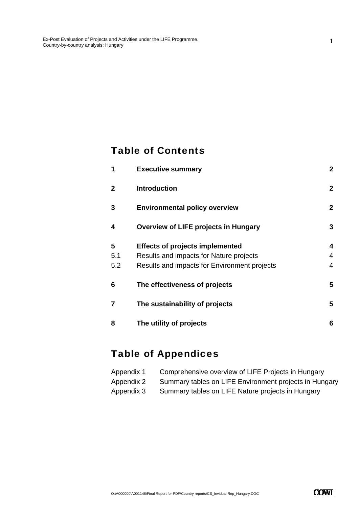# Table of Contents

| 1              | <b>Executive summary</b>                     | $\mathbf{2}$ |
|----------------|----------------------------------------------|--------------|
| $\overline{2}$ | <b>Introduction</b>                          | $\mathbf{2}$ |
| 3              | <b>Environmental policy overview</b>         | $\mathbf{2}$ |
| 4              | <b>Overview of LIFE projects in Hungary</b>  | 3            |
| 5              | <b>Effects of projects implemented</b>       | 4            |
| 5.1            | Results and impacts for Nature projects      | 4            |
| 5.2            | Results and impacts for Environment projects | 4            |
| 6              | The effectiveness of projects                | 5            |
| $\overline{7}$ | The sustainability of projects               | 5            |
| 8              | The utility of projects                      | 6            |

# Table of Appendices

| Appendix 1 | Comprehensive overview of LIFE Projects in Hungary     |
|------------|--------------------------------------------------------|
| Appendix 2 | Summary tables on LIFE Environment projects in Hungary |
| Appendix 3 | Summary tables on LIFE Nature projects in Hungary      |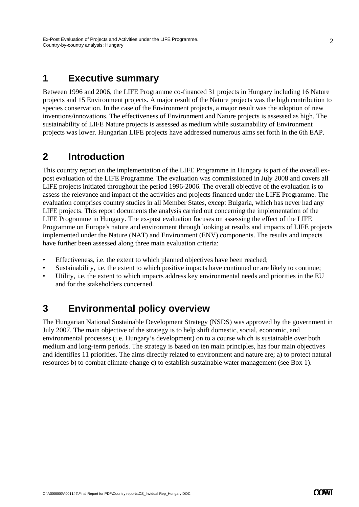## **1 Executive summary**

Between 1996 and 2006, the LIFE Programme co-financed 31 projects in Hungary including 16 Nature projects and 15 Environment projects. A major result of the Nature projects was the high contribution to species conservation. In the case of the Environment projects, a major result was the adoption of new inventions/innovations. The effectiveness of Environment and Nature projects is assessed as high. The sustainability of LIFE Nature projects is assessed as medium while sustainability of Environment projects was lower. Hungarian LIFE projects have addressed numerous aims set forth in the 6th EAP.

# **2 Introduction**

This country report on the implementation of the LIFE Programme in Hungary is part of the overall expost evaluation of the LIFE Programme. The evaluation was commissioned in July 2008 and covers all LIFE projects initiated throughout the period 1996-2006. The overall objective of the evaluation is to assess the relevance and impact of the activities and projects financed under the LIFE Programme. The evaluation comprises country studies in all Member States, except Bulgaria, which has never had any LIFE projects. This report documents the analysis carried out concerning the implementation of the LIFE Programme in Hungary. The ex-post evaluation focuses on assessing the effect of the LIFE Programme on Europe's nature and environment through looking at results and impacts of LIFE projects implemented under the Nature (NAT) and Environment (ENV) components. The results and impacts have further been assessed along three main evaluation criteria:

- Effectiveness, i.e. the extent to which planned objectives have been reached;
- Sustainability, i.e. the extent to which positive impacts have continued or are likely to continue;
- Utility, i.e. the extent to which impacts address key environmental needs and priorities in the EU and for the stakeholders concerned.

# **3 Environmental policy overview**

The Hungarian National Sustainable Development Strategy (NSDS) was approved by the government in July 2007. The main objective of the strategy is to help shift domestic, social, economic, and environmental processes (i.e. Hungary's development) on to a course which is sustainable over both medium and long-term periods. The strategy is based on ten main principles, has four main objectives and identifies 11 priorities. The aims directly related to environment and nature are; a) to protect natural resources b) to combat climate change c) to establish sustainable water management (see Box 1).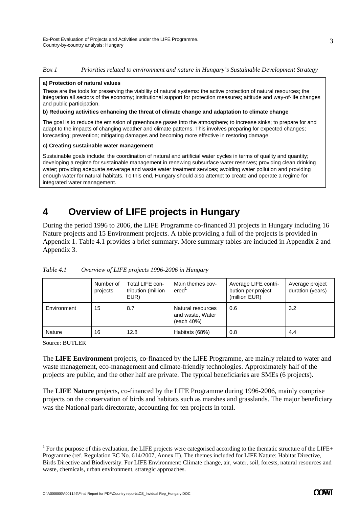#### *Box 1 Priorities related to environment and nature in Hungary's Sustainable Development Strategy*

#### **a) Protection of natural values**

These are the tools for preserving the viability of natural systems: the active protection of natural resources; the integration all sectors of the economy; institutional support for protection measures; attitude and way-of-life changes and public participation.

#### **b) Reducing activities enhancing the threat of climate change and adaptation to climate change**

The goal is to reduce the emission of greenhouse gases into the atmosphere; to increase sinks; to prepare for and adapt to the impacts of changing weather and climate patterns. This involves preparing for expected changes; forecasting; prevention; mitigating damages and becoming more effective in restoring damage.

#### **c) Creating sustainable water management**

Sustainable goals include: the coordination of natural and artificial water cycles in terms of quality and quantity; developing a regime for sustainable management in renewing subsurface water reserves; providing clean drinking water; providing adequate sewerage and waste water treatment services; avoiding water pollution and providing enough water for natural habitats. To this end, Hungary should also attempt to create and operate a regime for integrated water management.

# **4 Overview of LIFE projects in Hungary**

During the period 1996 to 2006, the LIFE Programme co-financed 31 projects in Hungary including 16 Nature projects and 15 Environment projects. A table providing a full of the projects is provided in Appendix 1. Table 4.1 provides a brief summary. More summary tables are included in Appendix 2 and Appendix 3.

|               | Number of<br>projects | Total LIFE con-<br>tribution (million<br>EUR) | Main themes cov-<br>ered <sup>'</sup>               | Average LIFE contri-<br>bution per project<br>(million EUR) | Average project<br>duration (years) |
|---------------|-----------------------|-----------------------------------------------|-----------------------------------------------------|-------------------------------------------------------------|-------------------------------------|
| Environment   | 15                    | 8.7                                           | Natural resources<br>and waste, Water<br>(each 40%) | 0.6                                                         | 3.2                                 |
| <b>Nature</b> | 16                    | 12.8                                          | Habitats (68%)                                      | 0.8                                                         | 4.4                                 |

*Table 4.1 Overview of LIFE projects 1996-2006 in Hungary* 

Source: BUTLER

-

The **LIFE Environment** projects, co-financed by the LIFE Programme, are mainly related to water and waste management, eco-management and climate-friendly technologies. Approximately half of the projects are public, and the other half are private. The typical beneficiaries are SMEs (6 projects).

The **LIFE Nature** projects, co-financed by the LIFE Programme during 1996-2006, mainly comprise projects on the conservation of birds and habitats such as marshes and grasslands. The major beneficiary was the National park directorate, accounting for ten projects in total.

<sup>&</sup>lt;sup>1</sup> For the purpose of this evaluation, the LIFE projects were categorised according to the thematic structure of the LIFE+ Programme (ref. Regulation EC No. 614/2007, Annex II). The themes included for LIFE Nature: Habitat Directive, Birds Directive and Biodiversity. For LIFE Environment: Climate change, air, water, soil, forests, natural resources and waste, chemicals, urban environment, strategic approaches.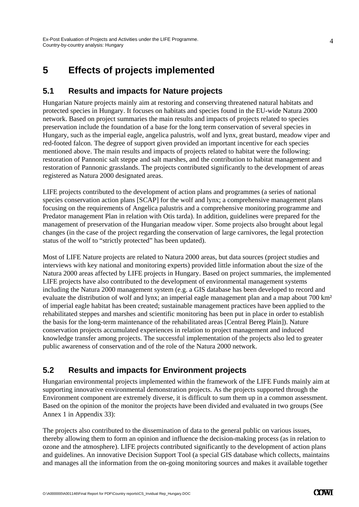# **5 Effects of projects implemented**

### **5.1 Results and impacts for Nature projects**

Hungarian Nature projects mainly aim at restoring and conserving threatened natural habitats and protected species in Hungary. It focuses on habitats and species found in the EU-wide Natura 2000 network. Based on project summaries the main results and impacts of projects related to species preservation include the foundation of a base for the long term conservation of several species in Hungary, such as the imperial eagle, angelica palustris, wolf and lynx, great bustard, meadow viper and red-footed falcon. The degree of support given provided an important incentive for each species mentioned above. The main results and impacts of projects related to habitat were the following: restoration of Pannonic salt steppe and salt marshes, and the contribution to habitat management and restoration of Pannonic grasslands. The projects contributed significantly to the development of areas registered as Natura 2000 designated areas.

LIFE projects contributed to the development of action plans and programmes (a series of national species conservation action plans [SCAP] for the wolf and lynx; a comprehensive management plans focusing on the requirements of Angelica palustris and a comprehensive monitoring programme and Predator management Plan in relation with Otis tarda). In addition, guidelines were prepared for the management of preservation of the Hungarian meadow viper. Some projects also brought about legal changes (in the case of the project regarding the conservation of large carnivores, the legal protection status of the wolf to "strictly protected" has been updated).

Most of LIFE Nature projects are related to Natura 2000 areas, but data sources (project studies and interviews with key national and monitoring experts) provided little information about the size of the Natura 2000 areas affected by LIFE projects in Hungary. Based on project summaries, the implemented LIFE projects have also contributed to the development of environmental management systems including the Natura 2000 management system (e.g. a GIS database has been developed to record and evaluate the distribution of wolf and lynx; an imperial eagle management plan and a map about 700 km<sup>2</sup> of imperial eagle habitat has been created; sustainable management practices have been applied to the rehabilitated steppes and marshes and scientific monitoring has been put in place in order to establish the basis for the long-term maintenance of the rehabilitated areas [Central Bereg Plain]). Nature conservation projects accumulated experiences in relation to project management and induced knowledge transfer among projects. The successful implementation of the projects also led to greater public awareness of conservation and of the role of the Natura 2000 network.

### **5.2 Results and impacts for Environment projects**

Hungarian environmental projects implemented within the framework of the LIFE Funds mainly aim at supporting innovative environmental demonstration projects. As the projects supported through the Environment component are extremely diverse, it is difficult to sum them up in a common assessment. Based on the opinion of the monitor the projects have been divided and evaluated in two groups (See Annex 1 in Appendix 33):

The projects also contributed to the dissemination of data to the general public on various issues, thereby allowing them to form an opinion and influence the decision-making process (as in relation to ozone and the atmosphere). LIFE projects contributed significantly to the development of action plans and guidelines. An innovative Decision Support Tool (a special GIS database which collects, maintains and manages all the information from the on-going monitoring sources and makes it available together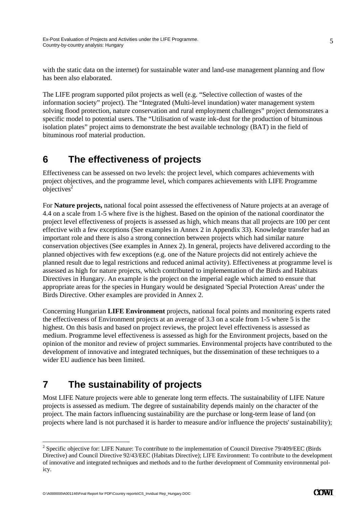with the static data on the internet) for sustainable water and land-use management planning and flow has been also elaborated.

The LIFE program supported pilot projects as well (e.g. "Selective collection of wastes of the information society" project). The "Integrated (Multi-level inundation) water management system solving flood protection, nature conservation and rural employment challenges" project demonstrates a specific model to potential users. The "Utilisation of waste ink-dust for the production of bituminous isolation plates" project aims to demonstrate the best available technology (BAT) in the field of bituminous roof material production.

# **6 The effectiveness of projects**

Effectiveness can be assessed on two levels: the project level, which compares achievements with project objectives, and the programme level, which compares achievements with LIFE Programme objectives $2$ 

For **Nature projects,** national focal point assessed the effectiveness of Nature projects at an average of 4.4 on a scale from 1-5 where five is the highest. Based on the opinion of the national coordinator the project level effectiveness of projects is assessed as high, which means that all projects are 100 per cent effective with a few exceptions (See examples in Annex 2 in Appendix 33). Knowledge transfer had an important role and there is also a strong connection between projects which had similar nature conservation objectives (See examples in Annex 2). In general, projects have delivered according to the planned objectives with few exceptions (e.g. one of the Nature projects did not entirely achieve the planned result due to legal restrictions and reduced animal activity). Effectiveness at programme level is assessed as high for nature projects, which contributed to implementation of the Birds and Habitats Directives in Hungary. An example is the project on the imperial eagle which aimed to ensure that appropriate areas for the species in Hungary would be designated 'Special Protection Areas' under the Birds Directive. Other examples are provided in Annex 2.

Concerning Hungarian **LIFE Environment** projects, national focal points and monitoring experts rated the effectiveness of Environment projects at an average of 3.3 on a scale from 1-5 where 5 is the highest. On this basis and based on project reviews, the project level effectiveness is assessed as medium. Programme level effectiveness is assessed as high for the Environment projects, based on the opinion of the monitor and review of project summaries. Environmental projects have contributed to the development of innovative and integrated techniques, but the dissemination of these techniques to a wider EU audience has been limited.

# **7 The sustainability of projects**

Most LIFE Nature projects were able to generate long term effects. The sustainability of LIFE Nature projects is assessed as medium. The degree of sustainability depends mainly on the character of the project. The main factors influencing sustainability are the purchase or long-term lease of land (on projects where land is not purchased it is harder to measure and/or influence the projects' sustainability);

-

<sup>&</sup>lt;sup>2</sup> Specific objective for: LIFE Nature: To contribute to the implementation of Council Directive 79/409/EEC (Birds Directive) and Council Directive 92/43/EEC (Habitats Directive); LIFE Environment: To contribute to the development of innovative and integrated techniques and methods and to the further development of Community environmental policy.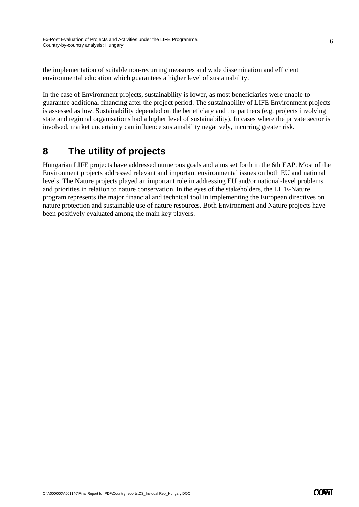the implementation of suitable non-recurring measures and wide dissemination and efficient environmental education which guarantees a higher level of sustainability.

In the case of Environment projects, sustainability is lower, as most beneficiaries were unable to guarantee additional financing after the project period. The sustainability of LIFE Environment projects is assessed as low. Sustainability depended on the beneficiary and the partners (e.g. projects involving state and regional organisations had a higher level of sustainability). In cases where the private sector is involved, market uncertainty can influence sustainability negatively, incurring greater risk.

# **8 The utility of projects**

Hungarian LIFE projects have addressed numerous goals and aims set forth in the 6th EAP. Most of the Environment projects addressed relevant and important environmental issues on both EU and national levels. The Nature projects played an important role in addressing EU and/or national-level problems and priorities in relation to nature conservation. In the eyes of the stakeholders, the LIFE-Nature program represents the major financial and technical tool in implementing the European directives on nature protection and sustainable use of nature resources. Both Environment and Nature projects have been positively evaluated among the main key players.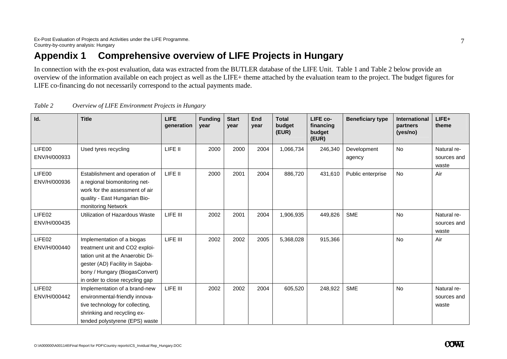# **Appendix 1 Comprehensive overview of LIFE Projects in Hungary**

In connection with the ex-post evaluation, data was extracted from the BUTLER database of the LIFE Unit. Table 1 and Table 2 below provide an overview of the information available on each project as well as the LIFE+ theme attached by the evaluation team to the project. The budget figures for LIFE co-financing do not necessarily correspond to the actual payments made.

| Id.                    | <b>Title</b>                                                                                                                                                                                             | <b>LIFE</b><br>generation | <b>Funding</b><br>year | <b>Start</b><br>year | End<br>year | <b>Total</b><br>budget<br>(EUR) | LIFE co-<br>financing<br>budget<br>(EUR) | <b>Beneficiary type</b> | <b>International</b><br>partners<br>(yes/no) | $LIFE+$<br>theme                    |
|------------------------|----------------------------------------------------------------------------------------------------------------------------------------------------------------------------------------------------------|---------------------------|------------------------|----------------------|-------------|---------------------------------|------------------------------------------|-------------------------|----------------------------------------------|-------------------------------------|
| LIFE00<br>ENV/H/000933 | Used tyres recycling                                                                                                                                                                                     | LIFE II                   | 2000                   | 2000                 | 2004        | 1,066,734                       | 246,340                                  | Development<br>agency   | <b>No</b>                                    | Natural re-<br>sources and<br>waste |
| LIFE00<br>ENV/H/000936 | Establishment and operation of<br>a regional biomonitoring net-<br>work for the assessment of air<br>quality - East Hungarian Bio-<br>monitoring Network                                                 | LIFE II                   | 2000                   | 2001                 | 2004        | 886,720                         | 431,610                                  | Public enterprise       | No                                           | Air                                 |
| LIFE02<br>ENV/H/000435 | Utilization of Hazardous Waste                                                                                                                                                                           | LIFE III                  | 2002                   | 2001                 | 2004        | 1,906,935                       | 449,826                                  | <b>SME</b>              | No                                           | Natural re-<br>sources and<br>waste |
| LIFE02<br>ENV/H/000440 | Implementation of a biogas<br>treatment unit and CO2 exploi-<br>tation unit at the Anaerobic Di-<br>gester (AD) Facility in Sajoba-<br>bony / Hungary (BiogasConvert)<br>in order to close recycling gap | LIFE III                  | 2002                   | 2002                 | 2005        | 5,368,028                       | 915,366                                  |                         | No                                           | Air                                 |
| LIFE02<br>ENV/H/000442 | Implementation of a brand-new<br>environmental-friendly innova-<br>tive technology for collecting,<br>shrinking and recycling ex-<br>tended polystyrene (EPS) waste                                      | LIFE III                  | 2002                   | 2002                 | 2004        | 605,520                         | 248,922                                  | <b>SME</b>              | No                                           | Natural re-<br>sources and<br>waste |

*Table 2 Overview of LIFE Environment Projects in Hungary*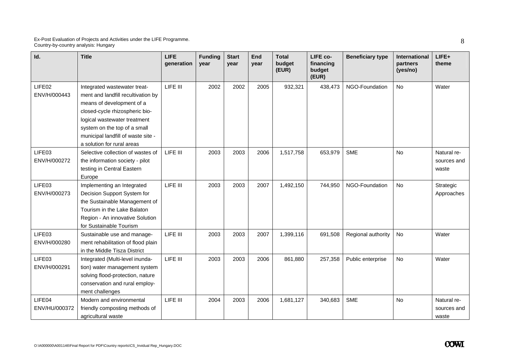| Id.                     | <b>Title</b>                                                                                                                                                                                                                                                          | LIFE<br>generation | <b>Funding</b><br>year | <b>Start</b><br>year | End<br>year | <b>Total</b><br>budget<br>(EUR) | LIFE co-<br>financing<br>budget<br>(EUR) | <b>Beneficiary type</b> | International<br>partners<br>(yes/no) | LIFE+<br>theme                      |
|-------------------------|-----------------------------------------------------------------------------------------------------------------------------------------------------------------------------------------------------------------------------------------------------------------------|--------------------|------------------------|----------------------|-------------|---------------------------------|------------------------------------------|-------------------------|---------------------------------------|-------------------------------------|
| LIFE02<br>ENV/H/000443  | Integrated wastewater treat-<br>ment and landfill recultivation by<br>means of development of a<br>closed-cycle rhizospheric bio-<br>logical wastewater treatment<br>system on the top of a small<br>municipal landfill of waste site -<br>a solution for rural areas | LIFE III           | 2002                   | 2002                 | 2005        | 932,321                         | 438,473                                  | NGO-Foundation          | <b>No</b>                             | Water                               |
| LIFE03<br>ENV/H/000272  | Selective collection of wastes of<br>the information society - pilot<br>testing in Central Eastern<br>Europe                                                                                                                                                          | LIFE III           | 2003                   | 2003                 | 2006        | 1,517,758                       | 653,979                                  | <b>SME</b>              | <b>No</b>                             | Natural re-<br>sources and<br>waste |
| LIFE03<br>ENV/H/000273  | Implementing an Integrated<br>Decision Support System for<br>the Sustainable Management of<br>Tourism in the Lake Balaton<br>Region - An innovative Solution<br>for Sustainable Tourism                                                                               | LIFE III           | 2003                   | 2003                 | 2007        | 1,492,150                       | 744,950                                  | NGO-Foundation          | <b>No</b>                             | Strategic<br>Approaches             |
| LIFE03<br>ENV/H/000280  | Sustainable use and manage-<br>ment rehabilitation of flood plain<br>in the Middle Tisza District                                                                                                                                                                     | LIFE III           | 2003                   | 2003                 | 2007        | 1,399,116                       | 691,508                                  | Regional authority      | No                                    | Water                               |
| LIFE03<br>ENV/H/000291  | Integrated (Multi-level inunda-<br>tion) water management system<br>solving flood-protection, nature<br>conservation and rural employ-<br>ment challenges                                                                                                             | LIFE III           | 2003                   | 2003                 | 2006        | 861,880                         | 257,358                                  | Public enterprise       | <b>No</b>                             | Water                               |
| LIFE04<br>ENV/HU/000372 | Modern and environmental<br>friendly composting methods of<br>agricultural waste                                                                                                                                                                                      | LIFE III           | 2004                   | 2003                 | 2006        | 1,681,127                       | 340,683                                  | <b>SME</b>              | No                                    | Natural re-<br>sources and<br>waste |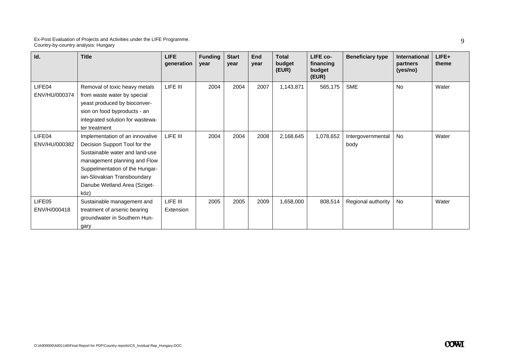| Id.                     | <b>Title</b>                                                                                                                                                                                                                                | <b>LIFE</b><br>generation | <b>Funding</b><br>year | <b>Start</b><br>year | End<br>year | <b>Total</b><br>budget<br>(EUR) | LIFE co-<br>financing<br>budget<br>(EUR) | <b>Beneficiary type</b>   | <b>International</b><br>partners<br>(yes/no) | LIFE+<br>theme |
|-------------------------|---------------------------------------------------------------------------------------------------------------------------------------------------------------------------------------------------------------------------------------------|---------------------------|------------------------|----------------------|-------------|---------------------------------|------------------------------------------|---------------------------|----------------------------------------------|----------------|
| LIFE04<br>ENV/HU/000374 | Removal of toxic heavy metals<br>from waste water by special<br>yeast produced by bioconver-<br>sion on food byproducts - an<br>integrated solution for wastewa-<br>ter treatment                                                           | LIFE III                  | 2004                   | 2004                 | 2007        | 1,143,871                       | 565,175                                  | <b>SME</b>                | <b>No</b>                                    | Water          |
| LIFE04<br>ENV/HU/000382 | Implementation of an innovative<br>Decision Support Tool for the<br>Sustainable water and land-use<br>management planning and Flow<br>Suppelmentation of the Hungar-<br>ian-Slovakian Transboundary<br>Danube Wetland Area (Sziget-<br>köz) | LIFE III                  | 2004                   | 2004                 | 2008        | 2,168,645                       | 1,078,652                                | Intergovernmental<br>body | No                                           | Water          |
| LIFE05<br>ENV/H/000418  | Sustainable management and<br>treatment of arsenic bearing<br>groundwater in Southern Hun-<br>gary                                                                                                                                          | LIFE III<br>Extension     | 2005                   | 2005                 | 2009        | 1,658,000                       | 808,514                                  | Regional authority        | <b>No</b>                                    | Water          |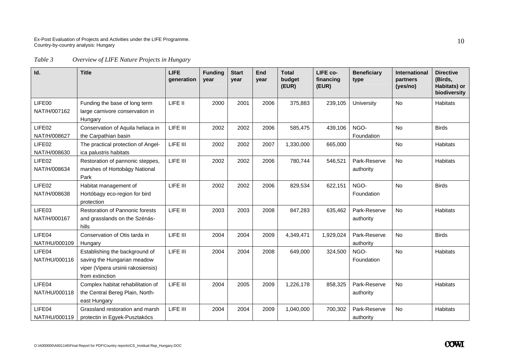*Table 3 Overview of LIFE Nature Projects in Hungary* 

| Id.                     | <b>Title</b>                                                                                                           | <b>LIFE</b><br>generation | <b>Funding</b><br>year | <b>Start</b><br>year | End<br>year | <b>Total</b><br>budget<br>(EUR) | LIFE co-<br>financing<br>(EUR) | <b>Beneficiary</b><br>type | <b>International</b><br>partners<br>(yes/no) | <b>Directive</b><br>(Birds,<br>Habitats) or<br>biodiversity |
|-------------------------|------------------------------------------------------------------------------------------------------------------------|---------------------------|------------------------|----------------------|-------------|---------------------------------|--------------------------------|----------------------------|----------------------------------------------|-------------------------------------------------------------|
| LIFE00<br>NAT/H/007162  | Funding the base of long term<br>large carnivore conservation in<br>Hungary                                            | LIFE II                   | 2000                   | 2001                 | 2006        | 375,883                         | 239,105                        | University                 | <b>No</b>                                    | Habitats                                                    |
| LIFE02<br>NAT/H/008627  | Conservation of Aquila heliaca in<br>the Carpathian basin                                                              | LIFE III                  | 2002                   | 2002                 | 2006        | 585,475                         | 439,106                        | NGO-<br>Foundation         | No                                           | <b>Birds</b>                                                |
| LIFE02<br>NAT/H/008630  | The practical protection of Angel-<br>ica palustris habitats                                                           | LIFE III                  | 2002                   | 2002                 | 2007        | 1,330,000                       | 665,000                        |                            | No                                           | <b>Habitats</b>                                             |
| LIFE02<br>NAT/H/008634  | Restoration of pannonic steppes,<br>marshes of Hortobágy National<br>Park                                              | LIFE III                  | 2002                   | 2002                 | 2006        | 780,744                         | 546,521                        | Park-Reserve<br>authority  | <b>No</b>                                    | <b>Habitats</b>                                             |
| LIFE02<br>NAT/H/008638  | Habitat management of<br>Hortóbagy eco-region for bird<br>protection                                                   | LIFE III                  | 2002                   | 2002                 | 2006        | 829,534                         | 622,151                        | NGO-<br>Foundation         | No                                           | <b>Birds</b>                                                |
| LIFE03<br>NAT/H/000167  | <b>Restoration of Pannonic forests</b><br>and grasslands on the Szénás-<br>hills                                       | LIFE III                  | 2003                   | 2003                 | 2008        | 847,283                         | 635,462                        | Park-Reserve<br>authority  | <b>No</b>                                    | <b>Habitats</b>                                             |
| LIFE04<br>NAT/HU/000109 | Conservation of Otis tarda in<br>Hungary                                                                               | LIFE III                  | 2004                   | 2004                 | 2009        | 4,349,471                       | 1,929,024                      | Park-Reserve<br>authority  | <b>No</b>                                    | <b>Birds</b>                                                |
| LIFE04<br>NAT/HU/000116 | Establishing the background of<br>saving the Hungarian meadow<br>viper (Vipera ursinii rakosiensis)<br>from extinction | LIFE III                  | 2004                   | 2004                 | 2008        | 649,000                         | 324,500                        | NGO-<br>Foundation         | <b>No</b>                                    | <b>Habitats</b>                                             |
| LIFE04<br>NAT/HU/000118 | Complex habitat rehabilitation of<br>the Central Bereg Plain, North-<br>east Hungary                                   | LIFE III                  | 2004                   | 2005                 | 2009        | 1,226,178                       | 858,325                        | Park-Reserve<br>authority  | No                                           | <b>Habitats</b>                                             |
| LIFE04<br>NAT/HU/000119 | Grassland restoration and marsh<br>protectin in Egyek-Pusztakócs                                                       | LIFE III                  | 2004                   | 2004                 | 2009        | 1,040,000                       | 700,302                        | Park-Reserve<br>authority  | <b>No</b>                                    | <b>Habitats</b>                                             |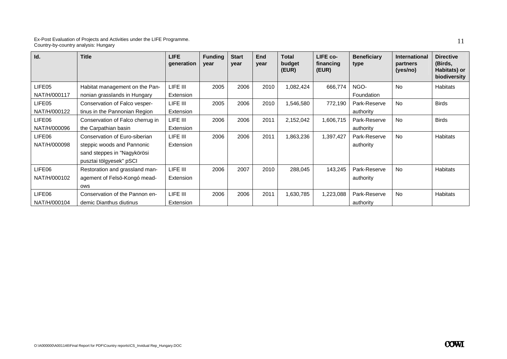| Id.                    | <b>Title</b>                                                                                                          | LIFE.<br>generation   | <b>Funding</b><br>year | <b>Start</b><br>vear | <b>End</b><br>year | <b>Total</b><br>budget<br>(EUR) | LIFE co-<br>financing<br>(EUR) | <b>Beneficiary</b><br>type | <b>International</b><br>partners<br>(yes/no) | <b>Directive</b><br>(Birds,<br>Habitats) or<br>biodiversity |
|------------------------|-----------------------------------------------------------------------------------------------------------------------|-----------------------|------------------------|----------------------|--------------------|---------------------------------|--------------------------------|----------------------------|----------------------------------------------|-------------------------------------------------------------|
| LIFE05<br>NAT/H/000117 | Habitat management on the Pan-<br>nonian grasslands in Hungary                                                        | LIFE III<br>Extension | 2005                   | 2006                 | 2010               | 1,082,424                       | 666,774                        | NGO-<br>Foundation         | <b>No</b>                                    | <b>Habitats</b>                                             |
| LIFE05<br>NAT/H/000122 | Conservation of Falco vesper-<br>tinus in the Pannonian Region                                                        | LIFE III<br>Extension | 2005                   | 2006                 | 2010               | 1,546,580                       | 772,190                        | Park-Reserve<br>authority  | <b>No</b>                                    | <b>Birds</b>                                                |
| LIFE06<br>NAT/H/000096 | Conservation of Falco cherrug in<br>the Carpathian basin                                                              | LIFE III<br>Extension | 2006                   | 2006                 | 2011               | 2,152,042                       | 1,606,715                      | Park-Reserve<br>authority  | <b>No</b>                                    | <b>Birds</b>                                                |
| LIFE06<br>NAT/H/000098 | Conservation of Euro-siberian<br>steppic woods and Pannonic<br>sand steppes in "Nagykörösi<br>pusztai tölgyesek" pSCI | LIFE III<br>Extension | 2006                   | 2006                 | 2011               | 1,863,236                       | 1,397,427                      | Park-Reserve<br>authority  | <b>No</b>                                    | <b>Habitats</b>                                             |
| LIFE06<br>NAT/H/000102 | Restoration and grassland man-<br>agement of Felsö-Kongó mead-<br>ows                                                 | LIFE III<br>Extension | 2006                   | 2007                 | 2010               | 288,045                         | 143,245                        | Park-Reserve<br>authority  | <b>No</b>                                    | <b>Habitats</b>                                             |
| LIFE06<br>NAT/H/000104 | Conservation of the Pannon en-<br>demic Dianthus diutinus                                                             | LIFE III<br>Extension | 2006                   | 2006                 | 2011               | 1,630,785                       | 1,223,088                      | Park-Reserve<br>authority  | <b>No</b>                                    | <b>Habitats</b>                                             |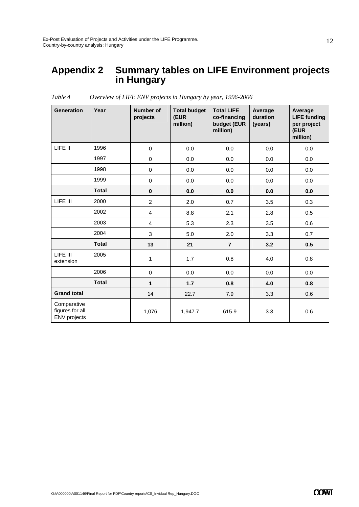## **Appendix 2 Summary tables on LIFE Environment projects in Hungary**

| <b>Generation</b>                                     | Year         | <b>Number of</b><br>projects | <b>Total budget</b><br>(EUR<br>million) | <b>Total LIFE</b><br>co-financing<br>budget (EUR<br>million) | Average<br>duration<br>(years) | Average<br><b>LIFE funding</b><br>per project<br>(EUR<br>million) |
|-------------------------------------------------------|--------------|------------------------------|-----------------------------------------|--------------------------------------------------------------|--------------------------------|-------------------------------------------------------------------|
| LIFE II                                               | 1996         | $\mathbf 0$                  | 0.0                                     | 0.0                                                          | 0.0                            | 0.0                                                               |
|                                                       | 1997         | $\pmb{0}$                    | 0.0                                     | 0.0                                                          | 0.0                            | 0.0                                                               |
|                                                       | 1998         | 0                            | 0.0                                     | 0.0                                                          | 0.0                            | 0.0                                                               |
|                                                       | 1999         | $\pmb{0}$                    | 0.0                                     | 0.0                                                          | 0.0                            | 0.0                                                               |
|                                                       | <b>Total</b> | $\pmb{0}$                    | 0.0                                     | 0.0                                                          | 0.0                            | 0.0                                                               |
| LIFE III                                              | 2000         | $\overline{2}$               | 2.0                                     | 0.7                                                          | 3.5                            | 0.3                                                               |
|                                                       | 2002         | $\overline{4}$               | 8.8                                     | 2.1                                                          | 2.8                            | 0.5                                                               |
|                                                       | 2003         | $\overline{4}$               | 5.3                                     | 2.3                                                          | 3.5                            | 0.6                                                               |
|                                                       | 2004         | 3                            | 5.0                                     | 2.0                                                          | 3.3                            | 0.7                                                               |
|                                                       | <b>Total</b> | 13                           | 21                                      | $\overline{7}$                                               | 3.2                            | 0.5                                                               |
| LIFE III<br>extension                                 | 2005         | 1                            | 1.7                                     | 0.8                                                          | 4.0                            | 0.8                                                               |
|                                                       | 2006         | $\pmb{0}$                    | 0.0                                     | 0.0                                                          | 0.0                            | 0.0                                                               |
|                                                       | <b>Total</b> | 1                            | 1.7                                     | 0.8                                                          | 4.0                            | 0.8                                                               |
| <b>Grand total</b>                                    |              | 14                           | 22.7                                    | 7.9                                                          | 3.3                            | 0.6                                                               |
| Comparative<br>figures for all<br><b>ENV</b> projects |              | 1,076                        | 1,947.7                                 | 615.9                                                        | 3.3                            | 0.6                                                               |

*Table 4 Overview of LIFE ENV projects in Hungary by year, 1996-2006*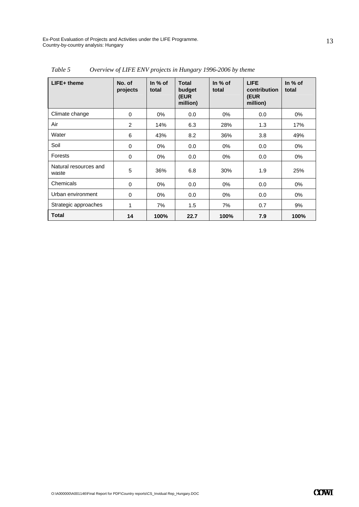| $LIFE+$ theme                  | No. of<br>projects | In $%$ of<br>total | <b>Total</b><br>budget<br>(EUR<br>million) | In $%$ of<br>total | <b>LIFE</b><br>contribution<br>(EUR<br>million) | In $%$ of<br>total |
|--------------------------------|--------------------|--------------------|--------------------------------------------|--------------------|-------------------------------------------------|--------------------|
| Climate change                 | 0                  | $0\%$              | 0.0                                        | $0\%$              | 0.0                                             | 0%                 |
| Air                            | 2                  | 14%                | 6.3                                        | 28%                | 1.3                                             | 17%                |
| Water                          | 6                  | 43%                | 8.2                                        | 36%                | 3.8                                             | 49%                |
| Soil                           | 0                  | 0%                 | 0.0                                        | $0\%$              | 0.0                                             | $0\%$              |
| Forests                        | 0                  | $0\%$              | 0.0                                        | $0\%$              | 0.0                                             | 0%                 |
| Natural resources and<br>waste | 5                  | 36%                | 6.8                                        | 30%                | 1.9                                             | 25%                |
| Chemicals                      | 0                  | $0\%$              | 0.0                                        | $0\%$              | 0.0                                             | 0%                 |
| Urban environment              | 0                  | $0\%$              | 0.0                                        | $0\%$              | 0.0                                             | 0%                 |
| Strategic approaches           | $\mathbf{1}$       | 7%                 | 1.5                                        | 7%                 | 0.7                                             | 9%                 |
| <b>Total</b>                   | 14                 | 100%               | 22.7                                       | 100%               | 7.9                                             | 100%               |

*Table 5 Overview of LIFE ENV projects in Hungary 1996-2006 by theme* 

13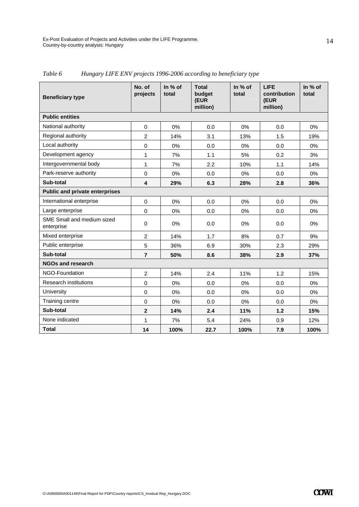| <b>Beneficiary type</b>                  | No. of<br>projects | In % of<br>total | <b>Total</b><br>budget<br>(EUR<br>million) | In % of<br>total | <b>LIFE</b><br>contribution<br>(EUR<br>million) | In % of<br>total |
|------------------------------------------|--------------------|------------------|--------------------------------------------|------------------|-------------------------------------------------|------------------|
| <b>Public entities</b>                   |                    |                  |                                            |                  |                                                 |                  |
| National authority                       | $\mathbf 0$        | 0%               | 0.0                                        | 0%               | 0.0                                             | 0%               |
| Regional authority                       | $\overline{2}$     | 14%              | 3.1                                        | 13%              | 1.5                                             | 19%              |
| Local authority                          | $\mathbf 0$        | 0%               | 0.0                                        | 0%               | 0.0                                             | 0%               |
| Development agency                       | $\mathbf{1}$       | 7%               | 1.1                                        | 5%               | 0.2                                             | 3%               |
| Intergovernmental body                   | 1                  | 7%               | 2.2                                        | 10%              | 1.1                                             | 14%              |
| Park-reserve authority                   | $\mathbf 0$        | 0%               | 0.0                                        | 0%               | 0.0                                             | 0%               |
| Sub-total                                | 4                  | 29%              | 6.3                                        | 28%              | 2.8                                             | 36%              |
| <b>Public and private enterprises</b>    |                    |                  |                                            |                  |                                                 |                  |
| International enterprise                 | $\mathbf 0$        | 0%               | 0.0                                        | 0%               | 0.0                                             | 0%               |
| Large enterprise                         | $\Omega$           | 0%               | 0.0                                        | 0%               | 0.0                                             | 0%               |
| SME Small and medium sized<br>enterprise | $\mathbf 0$        | 0%               | 0.0                                        | 0%               | 0.0                                             | $0\%$            |
| Mixed enterprise                         | $\overline{2}$     | 14%              | 1.7                                        | 8%               | 0.7                                             | 9%               |
| Public enterprise                        | 5                  | 36%              | 6.9                                        | 30%              | 2.3                                             | 29%              |
| Sub-total                                | $\overline{7}$     | 50%              | 8.6                                        | 38%              | 2.9                                             | 37%              |
| <b>NGOs and research</b>                 |                    |                  |                                            |                  |                                                 |                  |
| NGO-Foundation                           | $\overline{2}$     | 14%              | 2.4                                        | 11%              | 1.2                                             | 15%              |
| <b>Research institutions</b>             | $\mathbf 0$        | 0%               | 0.0                                        | 0%               | 0.0                                             | 0%               |
| University                               | $\mathbf 0$        | 0%               | 0.0                                        | 0%               | 0.0                                             | 0%               |
| Training centre                          | $\mathbf 0$        | 0%               | 0.0                                        | 0%               | 0.0                                             | 0%               |
| Sub-total                                | $\overline{2}$     | 14%              | 2.4                                        | 11%              | 1.2                                             | 15%              |
| None indicated                           | 1                  | 7%               | 5.4                                        | 24%              | 0.9                                             | 12%              |
| <b>Total</b>                             | 14                 | 100%             | 22.7                                       | 100%             | 7.9                                             | 100%             |

*Table 6 Hungary LIFE ENV projects 1996-2006 according to beneficiary type*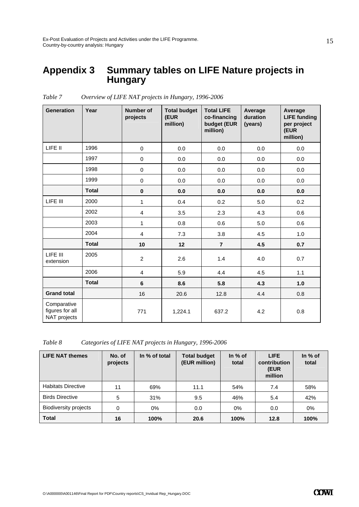### **Appendix 3 Summary tables on LIFE Nature projects in Hungary**

| <b>Generation</b>                              | Year         | <b>Number of</b><br>projects | <b>Total budget</b><br>(EUR<br>million) | <b>Total LIFE</b><br>co-financing<br>budget (EUR<br>million) | Average<br>duration<br>(years) | Average<br><b>LIFE funding</b><br>per project<br>(EUR<br>million) |
|------------------------------------------------|--------------|------------------------------|-----------------------------------------|--------------------------------------------------------------|--------------------------------|-------------------------------------------------------------------|
| LIFE II                                        | 1996         | $\mathbf 0$                  | 0.0                                     | 0.0                                                          | 0.0                            | 0.0                                                               |
|                                                | 1997         | $\pmb{0}$                    | 0.0                                     | 0.0                                                          | 0.0                            | 0.0                                                               |
|                                                | 1998         | $\pmb{0}$                    | 0.0                                     | 0.0                                                          | 0.0                            | 0.0                                                               |
|                                                | 1999         | 0                            | 0.0                                     | 0.0                                                          | 0.0                            | 0.0                                                               |
|                                                | <b>Total</b> | $\mathbf 0$                  | 0.0                                     | 0.0                                                          | 0.0                            | 0.0                                                               |
| LIFE III                                       | 2000         | 1                            | 0.4                                     | 0.2                                                          | 5.0                            | 0.2                                                               |
|                                                | 2002         | $\overline{4}$               | 3.5                                     | 2.3                                                          | 4.3                            | 0.6                                                               |
|                                                | 2003         | $\mathbf{1}$                 | 0.8                                     | 0.6                                                          | 5.0                            | 0.6                                                               |
|                                                | 2004         | $\overline{4}$               | 7.3                                     | 3.8                                                          | 4.5                            | 1.0                                                               |
|                                                | <b>Total</b> | 10                           | 12                                      | $\overline{7}$                                               | 4.5                            | 0.7                                                               |
| LIFE III<br>extension                          | 2005         | $\overline{c}$               | 2.6                                     | 1.4                                                          | 4.0                            | 0.7                                                               |
|                                                | 2006         | $\overline{4}$               | 5.9                                     | 4.4                                                          | 4.5                            | 1.1                                                               |
|                                                | <b>Total</b> | $6\phantom{1}$               | 8.6                                     | 5.8                                                          | 4.3                            | 1.0                                                               |
| <b>Grand total</b>                             |              | 16                           | 20.6                                    | 12.8                                                         | 4.4                            | 0.8                                                               |
| Comparative<br>figures for all<br>NAT projects |              | 771                          | 1,224.1                                 | 637.2                                                        | 4.2                            | 0.8                                                               |

*Table 7 Overview of LIFE NAT projects in Hungary, 1996-2006* 

*Table 8 Categories of LIFE NAT projects in Hungary, 1996-2006* 

| <b>LIFE NAT themes</b>       | No. of<br>projects | In % of total | <b>Total budget</b><br>(EUR million) | In $%$ of<br>total | <b>LIFE</b><br>contribution<br>(EUR<br>million | In $%$ of<br>total |
|------------------------------|--------------------|---------------|--------------------------------------|--------------------|------------------------------------------------|--------------------|
| <b>Habitats Directive</b>    | 11                 | 69%           | 11.1                                 | 54%                | 7.4                                            | 58%                |
| <b>Birds Directive</b>       | 5                  | 31%           | 9.5                                  | 46%                | 5.4                                            | 42%                |
| <b>Biodiversity projects</b> | 0                  | $0\%$         | 0.0                                  | 0%                 | 0.0                                            | 0%                 |
| <b>Total</b>                 | 16                 | 100%          | 20.6                                 | 100%               | 12.8                                           | 100%               |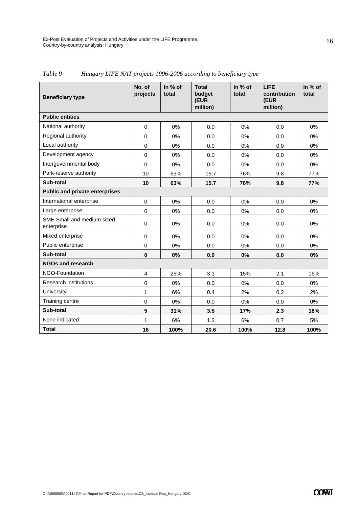| <b>Beneficiary type</b>                  | No. of<br>projects      | In % of<br>total | <b>Total</b><br>budget<br>(EUR<br>million) | In % of<br>total | <b>LIFE</b><br>contribution<br>(EUR<br>million) | In % of<br>total |  |  |  |  |  |
|------------------------------------------|-------------------------|------------------|--------------------------------------------|------------------|-------------------------------------------------|------------------|--|--|--|--|--|
| <b>Public entities</b>                   |                         |                  |                                            |                  |                                                 |                  |  |  |  |  |  |
| National authority                       | $\mathbf 0$             | 0%               | 0.0                                        | 0%               | 0.0                                             | $0\%$            |  |  |  |  |  |
| Regional authority                       | $\Omega$                | 0%               | 0.0                                        | $0\%$            | 0.0                                             | $0\%$            |  |  |  |  |  |
| Local authority                          | $\mathbf 0$             | 0%               | 0.0                                        | 0%               | 0.0                                             | 0%               |  |  |  |  |  |
| Development agency                       | $\mathbf 0$             | 0%               | 0.0                                        | 0%               | 0.0                                             | 0%               |  |  |  |  |  |
| Intergovernmental body                   | $\mathbf 0$             | 0%               | 0.0                                        | $0\%$            | 0.0                                             | 0%               |  |  |  |  |  |
| Park-reserve authority                   | 10                      | 63%              | 15.7                                       | 76%              | 9.8                                             | 77%              |  |  |  |  |  |
| Sub-total                                | 10                      | 63%              | 15.7                                       | 76%              | 9.8                                             | 77%              |  |  |  |  |  |
| <b>Public and private enterprises</b>    |                         |                  |                                            |                  |                                                 |                  |  |  |  |  |  |
| International enterprise                 | $\mathbf 0$             | 0%               | 0.0                                        | 0%               | 0.0                                             | 0%               |  |  |  |  |  |
| Large enterprise                         | $\Omega$                | 0%               | 0.0                                        | 0%               | 0.0                                             | 0%               |  |  |  |  |  |
| SME Small and medium sized<br>enterprise | $\mathbf 0$             | 0%               | 0.0                                        | 0%               | 0.0                                             | 0%               |  |  |  |  |  |
| Mixed enterprise                         | $\mathbf 0$             | 0%               | 0.0                                        | 0%               | 0.0                                             | $0\%$            |  |  |  |  |  |
| Public enterprise                        | $\mathbf 0$             | 0%               | 0.0                                        | 0%               | 0.0                                             | $0\%$            |  |  |  |  |  |
| Sub-total                                | $\mathbf 0$             | 0%               | 0.0                                        | 0%               | 0.0                                             | 0%               |  |  |  |  |  |
| <b>NGOs and research</b>                 |                         |                  |                                            |                  |                                                 |                  |  |  |  |  |  |
| NGO-Foundation                           | $\overline{\mathbf{4}}$ | 25%              | 3.1                                        | 15%              | 2.1                                             | 16%              |  |  |  |  |  |
| <b>Research institutions</b>             | $\mathbf 0$             | 0%               | 0.0                                        | 0%               | 0.0                                             | 0%               |  |  |  |  |  |
| University                               | $\mathbf{1}$            | 6%               | 0.4                                        | 2%               | 0.2                                             | 2%               |  |  |  |  |  |
| Training centre                          | $\mathbf 0$             | 0%               | 0.0                                        | 0%               | 0.0                                             | $0\%$            |  |  |  |  |  |
| Sub-total                                | 5                       | 31%              | 3.5                                        | 17%              | 2.3                                             | 18%              |  |  |  |  |  |
| None indicated                           | 1                       | 6%               | 1.3                                        | 6%               | 0.7                                             | 5%               |  |  |  |  |  |
| <b>Total</b>                             | 16                      | 100%             | 20.6                                       | 100%             | 12.8                                            | 100%             |  |  |  |  |  |

*Table 9 Hungary LIFE NAT projects 1996-2006 according to beneficiary type*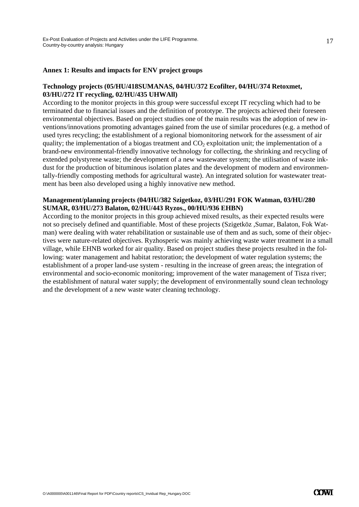### **Annex 1: Results and impacts for ENV project groups**

### **Technology projects (05/HU/418SUMANAS, 04/HU/372 Ecofilter, 04/HU/374 Retoxmet, 03/HU/272 IT recycling, 02/HU/435 UHWAll)**

According to the monitor projects in this group were successful except IT recycling which had to be terminated due to financial issues and the definition of prototype. The projects achieved their foreseen environmental objectives. Based on project studies one of the main results was the adoption of new inventions/innovations promoting advantages gained from the use of similar procedures (e.g. a method of used tyres recycling; the establishment of a regional biomonitoring network for the assessment of air quality; the implementation of a biogas treatment and  $CO<sub>2</sub>$  exploitation unit; the implementation of a brand-new environmental-friendly innovative technology for collecting, the shrinking and recycling of extended polystyrene waste; the development of a new wastewater system; the utilisation of waste inkdust for the production of bituminous isolation plates and the development of modern and environmentally-friendly composting methods for agricultural waste). An integrated solution for wastewater treatment has been also developed using a highly innovative new method.

### **Management/planning projects (04/HU/382 Szigetkoz, 03/HU/291 FOK Watman, 03/HU/280 SUMAR, 03/HU/273 Balaton, 02/HU/443 Ryzos., 00/HU/936 EHBN)**

According to the monitor projects in this group achieved mixed results, as their expected results were not so precisely defined and quantifiable. Most of these projects (Szigetköz ,Sumar, Balaton, Fok Watman) were dealing with water rehabilitation or sustainable use of them and as such, some of their objectives were nature-related objectives. Ryzhosperic was mainly achieving waste water treatment in a small village, while EHNB worked for air quality. Based on project studies these projects resulted in the following: water management and habitat restoration; the development of water regulation systems; the establishment of a proper land-use system - resulting in the increase of green areas; the integration of environmental and socio-economic monitoring; improvement of the water management of Tisza river; the establishment of natural water supply; the development of environmentally sound clean technology and the development of a new waste water cleaning technology.